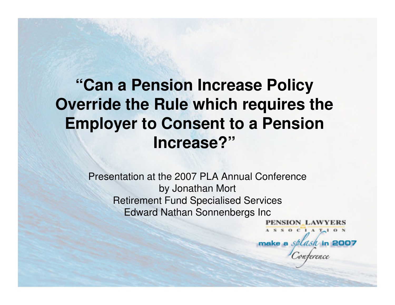## **"Can a Pension Increase Policy Override the Rule which requires the Employer to Consent to a Pension Increase?"**

Presentation at the 2007 PLA Annual Conferenceby Jonathan MortRetirement Fund Specialised ServicesEdward Nathan Sonnenbergs Inc

> PENSION LAWYERS ASSOCIATION make a splask in 2007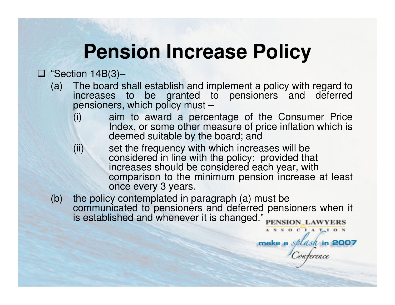# **Pension Increase Policy**

## $\begin{array}{ll}\n \Box \text{ "Section 14B(3)} - \\
\text{(a) The board is}\n \end{array}$

- (a) The board shall establish and implement a policy with regard to increases to be granted to pensioners and deferred pensioners, which policy must –
	- (i) aim to award a percentage of the Consumer Price Index, or some other measure of price inflation which is deemed suitable by the board; and
	- (ii) set the frequency with which increases will be considered in line with the policy: provided that increases should be considered each year, with comparison to the minimum pension increase at leastonce every 3 years.

ASSOCIATION

make a *splash* in 2007

 (b) the policy contemplated in paragraph (a) must be communicated to pensioners and deferred pensioners when it is established and whenever it is changed."PENSION\_LAWYERS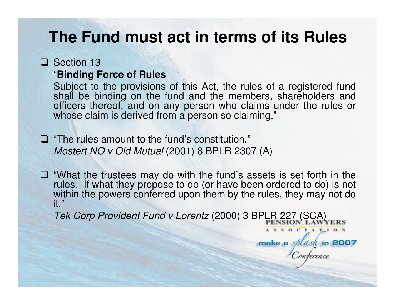#### **The Fund must act in terms of its Rules**

#### □ Section 13<br>"Binding F

#### "**Binding Force of Rules**

 Subject to the provisions of this Act, the rules of a registered fund shall be binding on the fund and the members, shareholders and officers thereof, and on any person who claims under the rules or whose claim is derived from a person so claiming."

 $\Box$  "The rules amount to the fund's constitution."<br>Mostert NO v Old Mutual (2001) 8 BPL B 230 Mostert NO v Old Mutual (2001) 8 BPLR 2307 (A)

 "What the trustees may do with the fund's assets is set forth in the rules. If what they propose to do (or have been ordered to do) is not within the powers conferred upon them by the rules, they may not do it."

Tek Corp Provident Fund v Lorentz (2000) 3 BPLR 227 (SCA)

 $C_1 A T_1 O N$ 

make a splash in 2007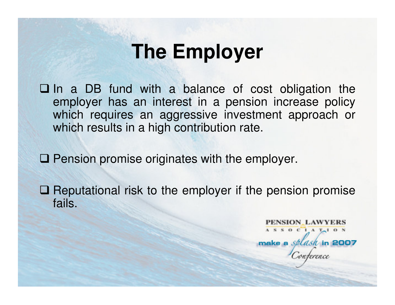# **The Employer**

 $\square$  In a DB fund with a balance of cost obligation the employer has an interest in a pension increase policy employer has an interest in a pension increase policy which requires an aggressive investment approach or which results in a high contribution rate.

 $\square$  Pension promise originates with the employer.

 $\Box$  Reputational risk to the employer if the pension promise fails fails.

> PENSION LAWYERS  $A S S 0 C 1 A T<sub>1</sub> 0 N$ make a *splash* in 2007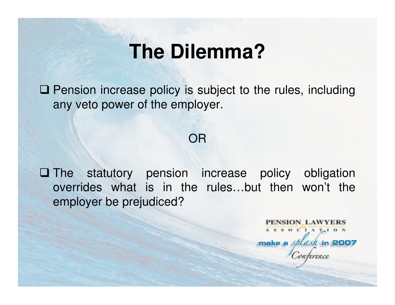# **The Dilemma?**

**Q Pension increase policy is subject to the rules, including any vote power of the employer** any veto power of the employer.

OR

 $\square$  The statutory pension increase policy obligation  $\square$ overrides what is in the rules…but then won't the employer be prejudiced?

> PENSION LAWYERS ASSOCIATION make a *splash* in 2007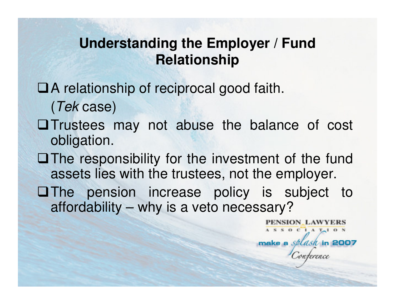#### **Understanding the Employer / Fund Relationship**

## A relationship of reciprocal good faith.(Tek case)

- Trustees may not abuse the balance of cost obligation.
- $\Box$  The responsibility for the investment of the fund assets lies with the trustees, not the employer.
- **OThe pension increase policy is subject to** affordability – why is a veto necessary?

SION LAWYERS

 $A S S 0 C 1 A T<sub>1</sub> 0 N$ 

make a *splash* in 2007